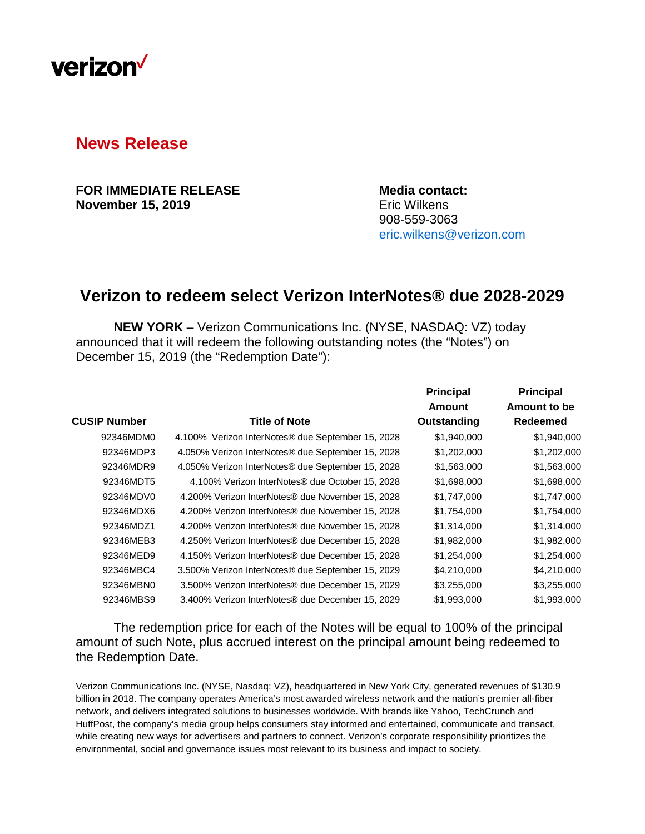

## **News Release**

**FOR IMMEDIATE RELEASE Media contact: November 15, 2019** Eric Wilkens

908-559-3063 [eric.wilkens@verizon.com](mailto:eric.wilkens@verizon.com)

## **Verizon to redeem select Verizon InterNotes® due 2028-2029**

**NEW YORK** – Verizon Communications Inc. (NYSE, NASDAQ: VZ) today announced that it will redeem the following outstanding notes (the "Notes") on December 15, 2019 (the "Redemption Date"):

|                     |                                                               | <b>Principal</b> | <b>Principal</b> |
|---------------------|---------------------------------------------------------------|------------------|------------------|
|                     |                                                               | Amount           | Amount to be     |
| <b>CUSIP Number</b> | <b>Title of Note</b>                                          | Outstanding      | <b>Redeemed</b>  |
| 92346MDM0           | 4.100% Verizon InterNotes <sup>®</sup> due September 15, 2028 | \$1,940,000      | \$1,940,000      |
| 92346MDP3           | 4.050% Verizon InterNotes® due September 15, 2028             | \$1,202,000      | \$1,202,000      |
| 92346MDR9           | 4.050% Verizon InterNotes <sup>®</sup> due September 15, 2028 | \$1,563,000      | \$1,563,000      |
| 92346MDT5           | 4.100% Verizon InterNotes® due October 15, 2028               | \$1,698,000      | \$1,698,000      |
| 92346MDV0           | 4.200% Verizon InterNotes <sup>®</sup> due November 15, 2028  | \$1,747,000      | \$1,747,000      |
| 92346MDX6           | 4.200% Verizon InterNotes® due November 15, 2028              | \$1,754,000      | \$1,754,000      |
| 92346MDZ1           | 4.200% Verizon InterNotes® due November 15, 2028              | \$1,314,000      | \$1,314,000      |
| 92346MEB3           | 4.250% Verizon InterNotes® due December 15, 2028              | \$1,982,000      | \$1,982,000      |
| 92346MED9           | 4.150% Verizon InterNotes <sup>®</sup> due December 15, 2028  | \$1,254,000      | \$1,254,000      |
| 92346MBC4           | 3.500% Verizon InterNotes® due September 15, 2029             | \$4,210,000      | \$4,210,000      |
| 92346MBN0           | 3.500% Verizon InterNotes® due December 15, 2029              | \$3,255,000      | \$3,255,000      |
| 92346MBS9           | 3.400% Verizon InterNotes® due December 15, 2029              | \$1,993,000      | \$1,993,000      |
|                     |                                                               |                  |                  |

The redemption price for each of the Notes will be equal to 100% of the principal amount of such Note, plus accrued interest on the principal amount being redeemed to the Redemption Date.

Verizon Communications Inc. (NYSE, Nasdaq: VZ), headquartered in New York City, generated revenues of \$130.9 billion in 2018. The company operates America's most awarded wireless network and the nation's premier all-fiber network, and delivers integrated solutions to businesses worldwide. With brands like Yahoo, TechCrunch and HuffPost, the company's media group helps consumers stay informed and entertained, communicate and transact, while creating new ways for advertisers and partners to connect. Verizon's corporate responsibility prioritizes the environmental, social and governance issues most relevant to its business and impact to society.